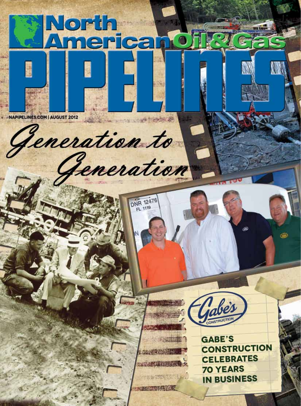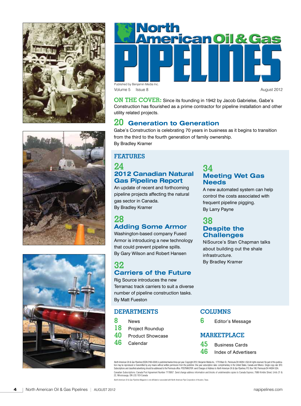



**ON THE COVER:** Since its founding in 1942 by Jacob Gabrielse, Gabe's Construction has flourished as a prime contractor for pipeline installation and other utility related projects.

### **20 Generation to Generation**

Gabe's Construction is celebrating 70 years in business as it begins to transition from the third to the fourth generation of family ownership. By Bradley Kramer

#### **FEATURES**

#### **24 2012 Canadian Natural Gas Pipeline Report**

An update of recent and forthcoming pipeline projects affecting the natural gas sector in Canada. By Bradley Kramer

# **28**

## **Adding Some Armor**

Washington-based company Fused Armor is introducing a new technology that could prevent pipeline spills. By Gary Wilson and Robert Hansen

#### **32 Carriers of the Future**

Rig Source introduces the new Terramac track carriers to suit a diverse number of pipeline construction tasks. By Matt Fueston

#### **DEPARTMENTS**

- **8** News **18** Project Roundup **40** Product Showcase
- **46** Calendar

#### **34 Meeting Wet Gas Needs**

A new automated system can help control the costs associated with frequent pipeline pigging. By Larry Payne

#### **38 Despite the Challenges**

NiSource's Stan Chapman talks about building out the shale infrastructure. By Bradley Kramer

#### **COLUMNS**

**6** Editor's Message

#### **MARKETPLACE**

- **45** Business Cards
- **46** Index of Advertisers

North American Oil & Gas Pipelines (ISSN 2166-6334) is published twelve times per year. Copyright 2012, Benjamin Media Inc., 1770 Main St., Peninsula OH 44264. USA All rights reserved. No part of this publication may be reproduced or transmitted by any means without written permission from the publisher. One year subscription rates: complimentary in the United States, Canada and Mexico. Single copy rate: \$10.<br>Subscriptions and Canadian Subscriptions: Canada Post Agreement Number 7178957. Send change address information and blocks of undeliverable copies to Canada Express; 7686 Kimble Street, Units 21 & 22, Mississauga, ON L5S 1E9 Canada

*North American Oil & Gas Pipelines* Manazine is not affiliated or associated with North American Pipe Corporation of Houston, Texas.



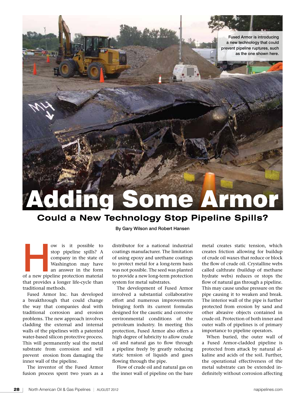

# **Could a New Technology Stop Pipeline Spills?**

ow is it possible to stop pipeline spills? A company in the state of Washington may have an answer in the form of a new pipeline protection material stop pipeline spills? A company in the state of Washington may have an answer in the form that provides a longer life-cycle than traditional methods.

Fused Armor Inc. has developed a breakthrough that could change the way that companies deal with traditional corrosion and erosion problems. The new approach involves cladding the external and internal walls of the pipelines with a patented water-based silicon protective process. This will permanently seal the metal substrate from corrosion and will prevent erosion from damaging the inner wall of the pipeline.

The inventor of the Fused Armor fusion process spent two years as a

By Gary Wilson and Robert Hansen

distributor for a national industrial coatings manufacturer. The limitation of using epoxy and urethane coatings to protect metal for a long-term basis was not possible. The seed was planted to provide a new long-term protection system for metal substrates.

The development of Fused Armor involved a substantial collaborative effort and numerous improvements bringing forth its current formulas designed for the caustic and corrosive environmental conditions of the petroleum industry. In meeting this protection, Fused Armor also offers a high degree of lubricity to allow crude oil and natural gas to flow through a pipeline freely by greatly reducing static tension of liquids and gases flowing through the pipe.

Flow of crude oil and natural gas on the inner wall of pipeline on the bare

metal creates static tension, which creates friction allowing for buildup of crude oil waxes that reduce or block the flow of crude oil. Crystalline webs called calthrate (buildup of methane hydrate webs) reduces or stops the flow of natural gas through a pipeline. This may cause undue pressure on the pipe causing it to weaken and break. The interior wall of the pipe is further protected from erosion by sand and other abrasive objects contained in crude oil. Protection of both inner and outer walls of pipelines is of primary importance to pipeline operators.

When buried, the outer wall of a Fused Armor-cladded pipeline is protected from attack by natural alkaline and acids of the soil. Further, the operational effectiveness of the metal substrate can be extended indefinitely without corrosion affecting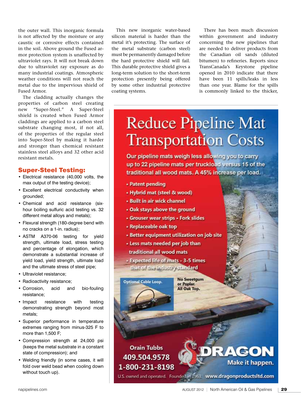the outer wall. This inorganic formula is not affected by the moisture or any caustic or corrosive effects contained in the soil. Above ground the Fused armor protection system is unaffected by ultraviolet rays. It will not break down due to ultraviolet ray exposure as do many industrial coatings. Atmospheric weather conditions will not reach the metal due to the impervious shield of Fused Armor.

The cladding actually changes the properties of carbon steel creating new "Super-Steel." A Super-Steel shield is created when Fused Armor claddings are applied to a carbon steel substrate changing most, if not all, of the properties of the regular steel into Super-Steel by making it harder and stronger than chemical resistant stainless steel alloys and 32 other acid resistant metals.

#### Super-Steel Testing:

- • Electrical resistance (40,000 volts, the max output of the testing device);
- • Excellent electrical conductivity when grounded;
- • Chemical and acid resistance (sixhour boiling sulfuric acid testing vs. 32 different metal alloys and metals);
- Flexural strength (180-degree bend with no cracks on a 1-in. radius);
- ASTM A370-06 testing for yield strength, ultimate load, stress testing and percentage of elongation, which demonstrate a substantial increase of yield load, yield strength, ultimate load and the ultimate stress of steel pipe;
- • Ultraviolet resistance;
- Radioactivity resistance;
- • Corrosion, acid and bio-fouling resistance;
- Impact resistance with testing demonstrating strength beyond most metals;
- • Superior performance in temperature extremes ranging from minus-325 F to more than 1,500 F;
- • Compression strength at 24,000 psi (keeps the metal substrate in a constant state of compression); and
- • Welding friendly (in some cases, it will fold over weld bead when cooling down without touch up).

This new inorganic water-based silicon material is harder than the metal it's protecting. The surface of the metal substrate (carbon steel) must be permanently damaged before the hard protective shield will fail. This durable protective shield gives a long-term solution to the short-term protection presently being offered by some other industrial protective coating systems.

There has been much discussion within government and industry concerning the new pipelines that are needed to deliver products from the Canadian oil sands (diluted bitumen) to refineries. Reports since TransCanada's Keystone pipeline opened in 2010 indicate that there have been 11 spills/leaks in less than one year. Blame for the spills is commonly linked to the thicker,

# **Reduce Pipeline Mat Transportation Costs**

Our pipeline mats weigh less allowing you to carry up to 22 pipeline mats per truckload versus 15 of the traditional all wood mats. A 45% increase per load.

- Patent pending
- Hybrid mat (steel & wood)
- · Built in air wick channel
- . Oak stays above the ground
- Grouser wear strips Fork slides
- Replaceable oak top

**Optional Cable Loop.** 

- Better equipment utilization on job site
- . Less mats needed per job than
- traditional all wood mats

- Expected life of mats - 3-5 times that of the industry standard

> **No Sweetgum** or Poplar. All Oak Top.

### **Orain Tubbs** 409.504.9578 1-800-231-8198

U.S. owned and operated. Founded in 1963. www.dragonproductsitd.com

**RAGON** 

Make it happen.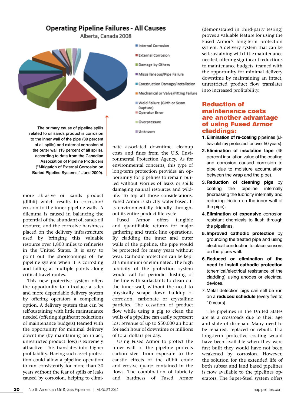# **Operating Pipeline Failures - All Causes**

Alberta, Canada 2008



The primary cause of pipeline spills related to oil sands product is corrosion to the inner wall of the pipe (39 percent of all spills) and external corrosion of the outer wall (13 percent of all spills), according to data from the Canadian Association of Pipeline Producers ("Mitigation of External Corrosion on Buried Pipeline Systems," June 2009).

more abrasive oil sands product (dilbit) which results in corrosion/ erosion to the inner pipeline walls. A dilemma is caused in balancing the potential of the abundant oil sands oil resource, and the corrosive harshness placed on the delivery infrastructure used by bringing this valuable resource over 1,800 miles to refineries in the United States. It is easy to point out the shortcomings of the pipeline system when it is corroding and failing at multiple points along critical travel routes.

This new protective system offers the opportunity to introduce a safer and more dependable delivery system by offering operators a compelling option. A delivery system that can be self-sustaining with little maintenance needed (offering significant reductions of maintenance budgets) teamed with the opportunity for minimal delivery downtime (by maintaining an intact, unrestricted product flow) is extremely attractive. This translates into higher profitability. Having such asset protection could allow a pipeline operation to run consistently for more than 30 years without the fear of spills or leaks caused by corrosion, helping to elimi-

- Internal Corrosion
- **External Corrosion**
- Damage by Others
- Miscellaneous/Pipe Failure
- Construction Damage/Installation
- Mechanical or Valve/Fitting Failure
- Weld Failure (Girth or Seam Rupture)
- Operator Error
- Overpressure
- Unknown

nate associated downtime, cleanup costs and fines from the U.S. Environmental Protection Agency. As for environmental concerns, this type of long-term protection provides an opportunity for pipelines to remain buried without worries of leaks or spills damaging natural resources and wildlife. To top all those considerations, Fused Armor is strictly water-based. It is environmentally friendly throughout its entire product life-cycle.

Fused Armor offers tangible and quantifiable returns for major gathering and trunk line operations. By cladding the inner and outer walls of the pipeline, the pipe would be protected for many years without wear. Cathodic protection can be kept at a minimum or eliminated. The high lubricity of the protection system would call for periodic flushing of the line with surfactants to clean out the inner wall, without the need to physically scrape down buildup of corrosion, carbonate or crystalline particles. The cessation of product flow while using a pig to clean the walls of a pipeline can easily represent lost revenue of up to \$50,000 an hour for each hour of downtime or millions of total dollars per day.

Using Fused Armor to protect the inner wall of the pipeline protects carbon steel from exposure to the caustic effects of the dilbit crude and erosive quartz contained in the flows. The combination of lubricity and hardness of Fused Armor

(demonstrated in third-party testing) proves a valuable feature for using the Fused Armor's long-term protection system. A delivery system that can be self-sustaining with little maintenance needed, offering significant reductions to maintenance budgets, teamed with the opportunity for minimal delivery downtime by maintaining an intact, unrestricted product flow translates into increased profitability.

#### Reduction of maintenance costs are another advantage of using Fused Armor claddings:

- **1. Elimination of re-coating** pipelines (ultraviolet ray protected for over 50 years).
- **2.Elimination of insulation tape** (45 percent insulation value of the coating and corrosion caused corrosion to pipe due to moisture accumulation between the wrap and the pipe).
- **3. Reduction of cleaning pigs** by coating the pipeline internally (increasing the lubricity internally and reducing friction on the inner wall of the pipe).
- **4.Elimination of expensive** corrosion resistant chemicals to flush through the pipelines.
- **5.Improved cathodic protection** by grounding the treated pipe and using electrical conduction to place sensors on the pipes wall.
- **6. Reduced or elimination of the need to install cathodic protection**  (chemical/electrical resistance of the cladding) using anodes or electrical devices.
- 7. Metal detection pigs can still be run on a **reduced schedule** (every five to 10 years).

The pipelines in the United States are at a crossroads due to their age and state of disrepair. Many need to be repaired, replaced or rebuilt. If a long-term protective coating would have been available when they were first built they would have not been weakened by corrosion. However, the solution for the extended life of both subsea and land based pipelines is now available to the pipelines operators. The Super-Steel system offers